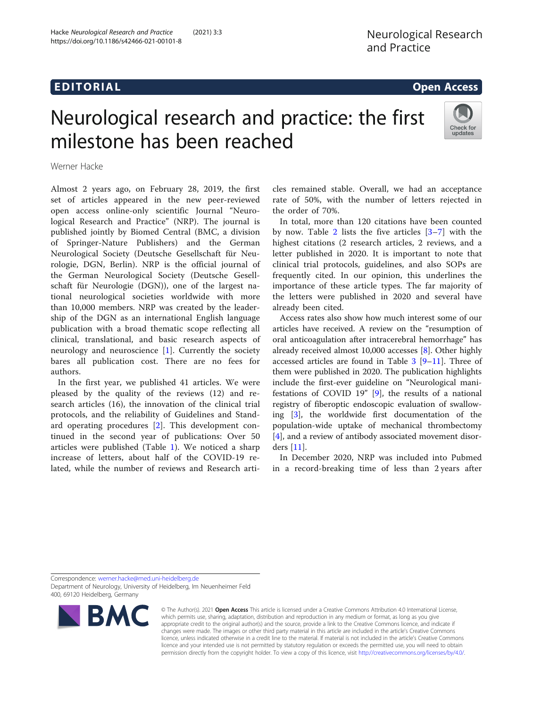# EDI TORIA L Open Access

# Neurological research and practice: the first milestone has been reached



Werner Hacke

Almost 2 years ago, on February 28, 2019, the first set of articles appeared in the new peer-reviewed open access online-only scientific Journal "Neurological Research and Practice" (NRP). The journal is published jointly by Biomed Central (BMC, a division of Springer-Nature Publishers) and the German Neurological Society (Deutsche Gesellschaft für Neurologie, DGN, Berlin). NRP is the official journal of the German Neurological Society (Deutsche Gesellschaft für Neurologie (DGN)), one of the largest national neurological societies worldwide with more than 10,000 members. NRP was created by the leadership of the DGN as an international English language publication with a broad thematic scope reflecting all clinical, translational, and basic research aspects of neurology and neuroscience [[1\]](#page-2-0). Currently the society bares all publication cost. There are no fees for authors.

In the first year, we published 41 articles. We were pleased by the quality of the reviews (12) and research articles (16), the innovation of the clinical trial protocols, and the reliability of Guidelines and Standard operating procedures [\[2](#page-2-0)]. This development continued in the second year of publications: Over 50 articles were published (Table [1](#page-1-0)). We noticed a sharp increase of letters, about half of the COVID-19 related, while the number of reviews and Research articles remained stable. Overall, we had an acceptance rate of 50%, with the number of letters rejected in the order of 70%.

In total, more than 120 citations have been counted by now. Table [2](#page-1-0) lists the five articles  $[3-7]$  $[3-7]$  $[3-7]$  $[3-7]$  with the highest citations (2 research articles, 2 reviews, and a letter published in 2020. It is important to note that clinical trial protocols, guidelines, and also SOPs are frequently cited. In our opinion, this underlines the importance of these article types. The far majority of the letters were published in 2020 and several have already been cited.

Access rates also show how much interest some of our articles have received. A review on the "resumption of oral anticoagulation after intracerebral hemorrhage" has already received almost 10,000 accesses [\[8](#page-2-0)]. Other highly accessed articles are found in Table [3](#page-1-0) [\[9](#page-2-0)–[11\]](#page-2-0). Three of them were published in 2020. The publication highlights include the first-ever guideline on "Neurological manifestations of COVID 19" [[9\]](#page-2-0), the results of a national registry of fiberoptic endoscopic evaluation of swallowing [\[3](#page-2-0)], the worldwide first documentation of the population-wide uptake of mechanical thrombectomy [[4\]](#page-2-0), and a review of antibody associated movement disorders [[11\]](#page-2-0).

In December 2020, NRP was included into Pubmed in a record-breaking time of less than 2 years after

Correspondence: [werner.hacke@med.uni-heidelberg.de](mailto:werner.hacke@med.uni-heidelberg.de) Department of Neurology, University of Heidelberg, Im Neuenheimer Feld 400, 69120 Heidelberg, Germany



© The Author(s). 2021 Open Access This article is licensed under a Creative Commons Attribution 4.0 International License, which permits use, sharing, adaptation, distribution and reproduction in any medium or format, as long as you give appropriate credit to the original author(s) and the source, provide a link to the Creative Commons licence, and indicate if changes were made. The images or other third party material in this article are included in the article's Creative Commons licence, unless indicated otherwise in a credit line to the material. If material is not included in the article's Creative Commons licence and your intended use is not permitted by statutory regulation or exceeds the permitted use, you will need to obtain permission directly from the copyright holder. To view a copy of this licence, visit [http://creativecommons.org/licenses/by/4.0/.](http://creativecommons.org/licenses/by/4.0/)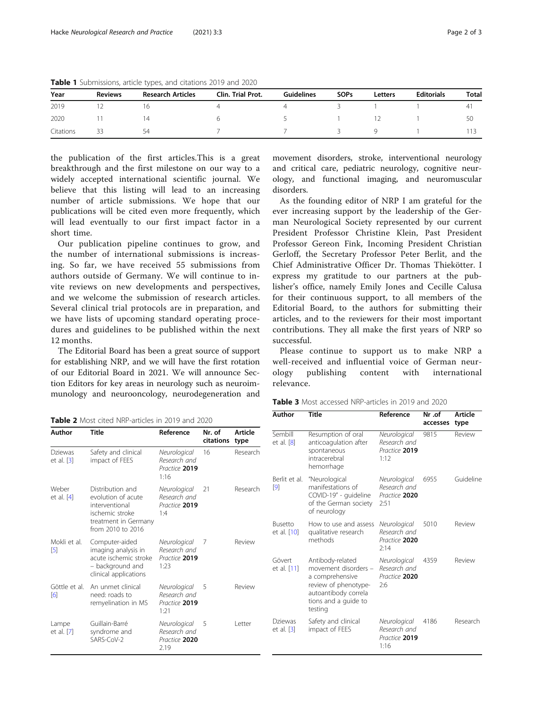| Year      | <b>Reviews</b> | <b>Research Articles</b> | <b>Clin. Trial Prot.</b> | Guidelines | <b>SOPs</b> | Letters | <b>Editorials</b> | Total |
|-----------|----------------|--------------------------|--------------------------|------------|-------------|---------|-------------------|-------|
| 2019      |                | 10                       |                          |            |             |         |                   | 41    |
| 2020      |                | 14                       |                          | $\sim$     |             |         |                   | -50   |
| Citations | 33             | 54                       |                          |            | - 3         | y.      |                   | 113   |

<span id="page-1-0"></span>Table 1 Submissions, article types, and citations 2019 and 2020

the publication of the first articles.This is a great breakthrough and the first milestone on our way to a widely accepted international scientific journal. We believe that this listing will lead to an increasing number of article submissions. We hope that our publications will be cited even more frequently, which will lead eventually to our first impact factor in a short time.

Our publication pipeline continues to grow, and the number of international submissions is increasing. So far, we have received 55 submissions from authors outside of Germany. We will continue to invite reviews on new developments and perspectives, and we welcome the submission of research articles. Several clinical trial protocols are in preparation, and we have lists of upcoming standard operating procedures and guidelines to be published within the next 12 months.

The Editorial Board has been a great source of support for establishing NRP, and we will have the first rotation of our Editorial Board in 2021. We will announce Section Editors for key areas in neurology such as neuroimmunology and neurooncology, neurodegeneration and

Table 2 Most cited NRP-articles in 2019 and 2020

| Author                | Title                                                                                                                    | Reference                                             | Nr. of<br>citations | Article<br>type |
|-----------------------|--------------------------------------------------------------------------------------------------------------------------|-------------------------------------------------------|---------------------|-----------------|
| Dziewas<br>et al. [3] | Safety and clinical<br>impact of FEES                                                                                    | Neurological<br>Research and<br>Practice 2019<br>1:16 | 16                  | Research        |
| Weber<br>et al. [4]   | Distribution and<br>evolution of acute<br>interventional<br>ischemic stroke<br>treatment in Germany<br>from 2010 to 2016 | Neurological<br>Research and<br>Practice 2019<br>1.4  | 21                  | Research        |
| Mokli et al.<br>[5]   | Computer-aided<br>imaging analysis in<br>acute ischemic stroke<br>- background and<br>clinical applications              | Neurological<br>Research and<br>Practice 2019<br>1:23 | 7                   | Review          |
| Göttle et al.<br>[6]  | An unmet clinical<br>need: roads to<br>remyelination in MS                                                               | Neurological<br>Research and<br>Practice 2019<br>1:21 | 5                   | Review          |
| Lampe<br>et al. [7]   | Guillain-Barré<br>syndrome and<br>SARS-CoV-2                                                                             | Neurological<br>Research and<br>Practice 2020<br>2.19 | 5                   | Letter          |

movement disorders, stroke, interventional neurology and critical care, pediatric neurology, cognitive neurology, and functional imaging, and neuromuscular disorders.

As the founding editor of NRP I am grateful for the ever increasing support by the leadership of the German Neurological Society represented by our current President Professor Christine Klein, Past President Professor Gereon Fink, Incoming President Christian Gerloff, the Secretary Professor Peter Berlit, and the Chief Administrative Officer Dr. Thomas Thiekötter. I express my gratitude to our partners at the publisher's office, namely Emily Jones and Cecille Calusa for their continuous support, to all members of the Editorial Board, to the authors for submitting their articles, and to the reviewers for their most important contributions. They all make the first years of NRP so successful.

Please continue to support us to make NRP a well-received and influential voice of German neurology publishing content with international relevance.

| Author                  | Title                                                                                                                                          | Reference                                             | Nr.of<br>accesses | <b>Article</b><br>type |
|-------------------------|------------------------------------------------------------------------------------------------------------------------------------------------|-------------------------------------------------------|-------------------|------------------------|
| Sembill<br>et al. [8]   | Resumption of oral<br>anticoagulation after<br>spontaneous<br>intracerebral<br>hemorrhage                                                      | Neurological<br>Research and<br>Practice 2019<br>1:12 | 9815              | Review                 |
| Berlit et al.<br>$[9]$  | "Neurological<br>manifestations of<br>COVID-19" - guideline<br>of the German society<br>of neurology                                           | Neurological<br>Research and<br>Practice 2020<br>2:51 | 6955              | Guideline              |
| Busetto<br>et al. [10]  | How to use and assess<br>qualitative research<br>methods                                                                                       | Neurological<br>Research and<br>Practice 2020<br>2:14 | 5010              | Review                 |
| Gövert<br>et al. [11]   | Antibody-related<br>movement disorders -<br>a comprehensive<br>review of phenotype-<br>autoantibody correla<br>tions and a guide to<br>testing | Neurological<br>Research and<br>Practice 2020<br>2:6  | 4359              | Review                 |
| Dziewas<br>et al. $[3]$ | Safety and clinical<br>impact of FEES                                                                                                          | Neurological<br>Research and<br>Practice 2019<br>1:16 | 4186              | Research               |

Table 3 Most accessed NRP-articles in 2019 and 2020